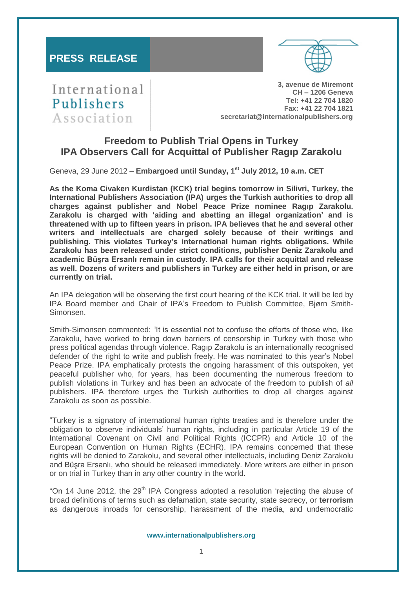

International Publishers Association

**3, avenue de Miremont CH – 1206 Geneva Tel: +41 22 704 1820 Fax: +41 22 704 1821 secretariat@internationalpublishers.org**

# **Freedom to Publish Trial Opens in Turkey IPA Observers Call for Acquittal of Publisher Ragıp Zarakolu**

Geneva, 29 June 2012 – **Embargoed until Sunday, 1st July 2012, 10 a.m. CET**

**As the Koma Civaken Kurdistan (KCK) trial begins tomorrow in Silivri, Turkey, the International Publishers Association (IPA) urges the Turkish authorities to drop all charges against publisher and Nobel Peace Prize nominee Ragıp Zarakolu. Zarakolu is charged with 'aiding and abetting an illegal organization' and is threatened with up to fifteen years in prison. IPA believes that he and several other writers and intellectuals are charged solely because of their writings and publishing. This violates Turkey's international human rights obligations. While Zarakolu has been released under strict conditions, publisher Deniz Zarakolu and academic Büşra Ersanlı remain in custody. IPA calls for their acquittal and release as well. Dozens of writers and publishers in Turkey are either held in prison, or are currently on trial.** 

An IPA delegation will be observing the first court hearing of the KCK trial. It will be led by IPA Board member and Chair of IPA's Freedom to Publish Committee, Bjørn Smith-Simonsen.

Smith-Simonsen commented: "It is essential not to confuse the efforts of those who, like Zarakolu, have worked to bring down barriers of censorship in Turkey with those who press political agendas through violence. Ragıp Zarakolu is an internationally recognised defender of the right to write and publish freely. He was nominated to this year's Nobel Peace Prize. IPA emphatically protests the ongoing harassment of this outspoken, yet peaceful publisher who, for years, has been documenting the numerous freedom to publish violations in Turkey and has been an advocate of the freedom to publish of *all* publishers. IPA therefore urges the Turkish authorities to drop all charges against Zarakolu as soon as possible.

"Turkey is a signatory of international human rights treaties and is therefore under the obligation to observe individuals' human rights, including in particular Article 19 of the International Covenant on Civil and Political Rights (ICCPR) and Article 10 of the European Convention on Human Rights (ECHR). IPA remains concerned that these rights will be denied to Zarakolu, and several other intellectuals, including Deniz Zarakolu and Büşra Ersanlı, who should be released immediately. More writers are either in prison or on trial in Turkey than in any other country in the world.

"On 14 June 2012, the  $29<sup>th</sup>$  IPA Congress adopted a resolution 'rejecting the abuse of broad definitions of terms such as defamation, state security, state secrecy, or **terrorism** as dangerous inroads for censorship, harassment of the media, and undemocratic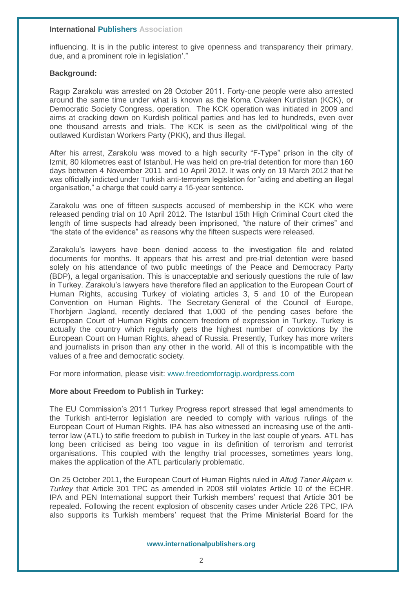## **International Publishers Association**

influencing. It is in the public interest to give openness and transparency their primary, due, and a prominent role in legislation'."

# **Background:**

Ragıp Zarakolu was arrested on 28 October 2011. Forty-one people were also arrested around the same time under what is known as the Koma Civaken Kurdistan (KCK), or Democratic Society Congress, operation. The KCK operation was initiated in 2009 and aims at cracking down on Kurdish political parties and has led to hundreds, even over one thousand arrests and trials. The KCK is seen as the civil/political wing of the outlawed Kurdistan Workers Party (PKK), and thus illegal.

After his arrest, Zarakolu was moved to a high security "F-Type" prison in the city of Izmit, 80 kilometres east of Istanbul. He was held on pre-trial detention for more than 160 days between 4 November 2011 and 10 April 2012. It was only on 19 March 2012 that he was officially indicted under Turkish anti-terrorism legislation for "aiding and abetting an illegal organisation," a charge that could carry a 15-year sentence.

Zarakolu was one of fifteen suspects accused of membership in the KCK who were released pending trial on 10 April 2012. The Istanbul 15th High Criminal Court cited the length of time suspects had already been imprisoned, "the nature of their crimes" and "the state of the evidence" as reasons why the fifteen suspects were released.

Zarakolu's lawyers have been denied access to the investigation file and related documents for months. It appears that his arrest and pre-trial detention were based solely on his attendance of two public meetings of the Peace and Democracy Party (BDP), a legal organisation. This is unacceptable and seriously questions the rule of law in Turkey. Zarakolu's lawyers have therefore filed an application to the European Court of Human Rights, accusing Turkey of violating articles 3, 5 and 10 of the European Convention on Human Rights. The Secretary General of the Council of Europe, Thorbjørn Jagland, recently declared that 1,000 of the pending cases before the European Court of Human Rights concern freedom of expression in Turkey. Turkey is actually the country which regularly gets the highest number of convictions by the European Court on Human Rights, ahead of Russia. Presently, Turkey has more writers and journalists in prison than any other in the world. All of this is incompatible with the values of a free and democratic society.

For more information, please visit: [www.freedomforragip.wordpress.com](http://www.freedomforragip.wordpress.com/)

## **More about Freedom to Publish in Turkey:**

The EU Commission's 2011 Turkey Progress report stressed that legal amendments to the Turkish anti-terror legislation are needed to comply with various rulings of the European Court of Human Rights. IPA has also witnessed an increasing use of the antiterror law (ATL) to stifle freedom to publish in Turkey in the last couple of years. ATL has long been criticised as being too vague in its definition of terrorism and terrorist organisations. This coupled with the lengthy trial processes, sometimes years long, makes the application of the ATL particularly problematic.

On 25 October 2011, the European Court of Human Rights ruled in *Altuğ Taner Akçam v. Turkey* that Article 301 TPC as amended in 2008 still violates Article 10 of the ECHR. IPA and PEN International support their Turkish members' request that Article 301 be repealed. Following the recent explosion of obscenity cases under Article 226 TPC, IPA also supports its Turkish members' request that the Prime Ministerial Board for the

#### **www.internationalpublishers.org**